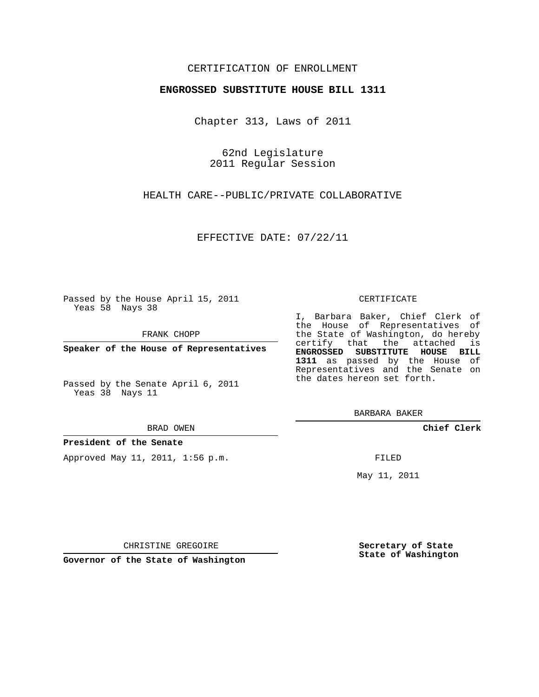## CERTIFICATION OF ENROLLMENT

### **ENGROSSED SUBSTITUTE HOUSE BILL 1311**

Chapter 313, Laws of 2011

62nd Legislature 2011 Regular Session

HEALTH CARE--PUBLIC/PRIVATE COLLABORATIVE

EFFECTIVE DATE: 07/22/11

Passed by the House April 15, 2011 Yeas 58 Nays 38

FRANK CHOPP

**Speaker of the House of Representatives**

Passed by the Senate April 6, 2011 Yeas 38 Nays 11

BRAD OWEN

**President of the Senate**

Approved May 11, 2011, 1:56 p.m.

#### CERTIFICATE

I, Barbara Baker, Chief Clerk of the House of Representatives of the State of Washington, do hereby certify that the attached is **ENGROSSED SUBSTITUTE HOUSE BILL 1311** as passed by the House of Representatives and the Senate on the dates hereon set forth.

BARBARA BAKER

**Chief Clerk**

FILED

May 11, 2011

**Secretary of State State of Washington**

CHRISTINE GREGOIRE

**Governor of the State of Washington**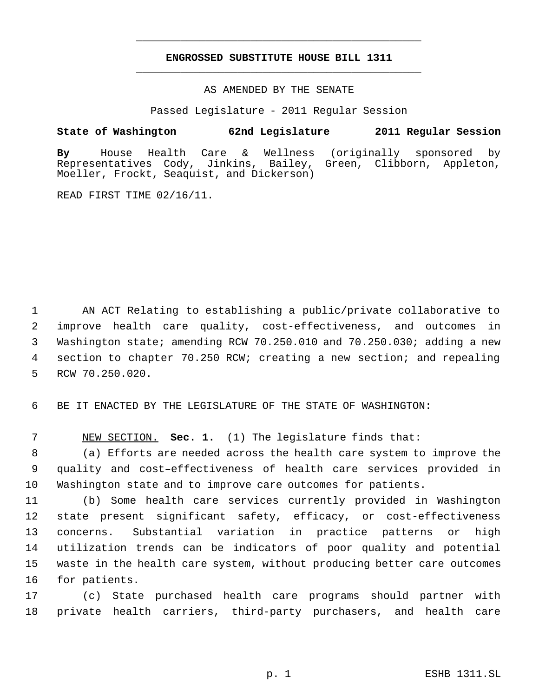# **ENGROSSED SUBSTITUTE HOUSE BILL 1311** \_\_\_\_\_\_\_\_\_\_\_\_\_\_\_\_\_\_\_\_\_\_\_\_\_\_\_\_\_\_\_\_\_\_\_\_\_\_\_\_\_\_\_\_\_

\_\_\_\_\_\_\_\_\_\_\_\_\_\_\_\_\_\_\_\_\_\_\_\_\_\_\_\_\_\_\_\_\_\_\_\_\_\_\_\_\_\_\_\_\_

## AS AMENDED BY THE SENATE

Passed Legislature - 2011 Regular Session

# **State of Washington 62nd Legislature 2011 Regular Session**

**By** House Health Care & Wellness (originally sponsored by Representatives Cody, Jinkins, Bailey, Green, Clibborn, Appleton, Moeller, Frockt, Seaquist, and Dickerson)

READ FIRST TIME 02/16/11.

 AN ACT Relating to establishing a public/private collaborative to improve health care quality, cost-effectiveness, and outcomes in Washington state; amending RCW 70.250.010 and 70.250.030; adding a new section to chapter 70.250 RCW; creating a new section; and repealing RCW 70.250.020.

BE IT ENACTED BY THE LEGISLATURE OF THE STATE OF WASHINGTON:

NEW SECTION. **Sec. 1.** (1) The legislature finds that:

 (a) Efforts are needed across the health care system to improve the quality and cost–effectiveness of health care services provided in Washington state and to improve care outcomes for patients.

 (b) Some health care services currently provided in Washington state present significant safety, efficacy, or cost-effectiveness concerns. Substantial variation in practice patterns or high utilization trends can be indicators of poor quality and potential waste in the health care system, without producing better care outcomes for patients.

 (c) State purchased health care programs should partner with private health carriers, third-party purchasers, and health care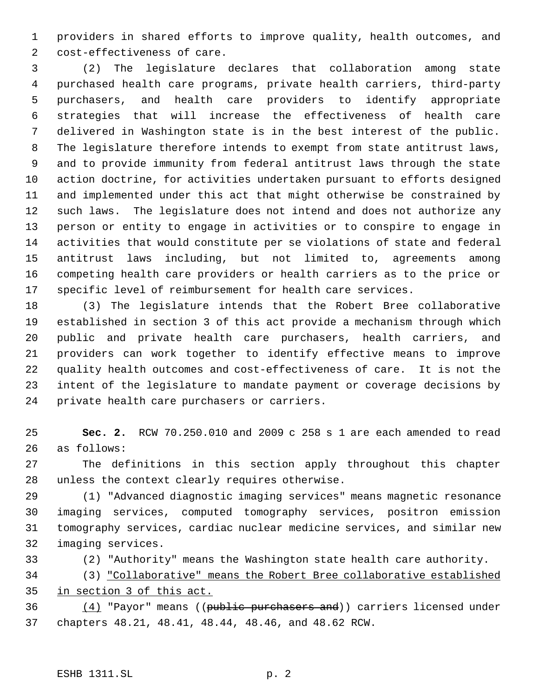providers in shared efforts to improve quality, health outcomes, and cost-effectiveness of care.

 (2) The legislature declares that collaboration among state purchased health care programs, private health carriers, third-party purchasers, and health care providers to identify appropriate strategies that will increase the effectiveness of health care delivered in Washington state is in the best interest of the public. The legislature therefore intends to exempt from state antitrust laws, and to provide immunity from federal antitrust laws through the state action doctrine, for activities undertaken pursuant to efforts designed and implemented under this act that might otherwise be constrained by such laws. The legislature does not intend and does not authorize any person or entity to engage in activities or to conspire to engage in activities that would constitute per se violations of state and federal antitrust laws including, but not limited to, agreements among competing health care providers or health carriers as to the price or specific level of reimbursement for health care services.

 (3) The legislature intends that the Robert Bree collaborative established in section 3 of this act provide a mechanism through which public and private health care purchasers, health carriers, and providers can work together to identify effective means to improve quality health outcomes and cost-effectiveness of care. It is not the intent of the legislature to mandate payment or coverage decisions by private health care purchasers or carriers.

 **Sec. 2.** RCW 70.250.010 and 2009 c 258 s 1 are each amended to read as follows:

 The definitions in this section apply throughout this chapter unless the context clearly requires otherwise.

 (1) "Advanced diagnostic imaging services" means magnetic resonance imaging services, computed tomography services, positron emission tomography services, cardiac nuclear medicine services, and similar new imaging services.

(2) "Authority" means the Washington state health care authority.

 (3) "Collaborative" means the Robert Bree collaborative established in section 3 of this act.

36 (4) "Payor" means ((public purchasers and)) carriers licensed under chapters 48.21, 48.41, 48.44, 48.46, and 48.62 RCW.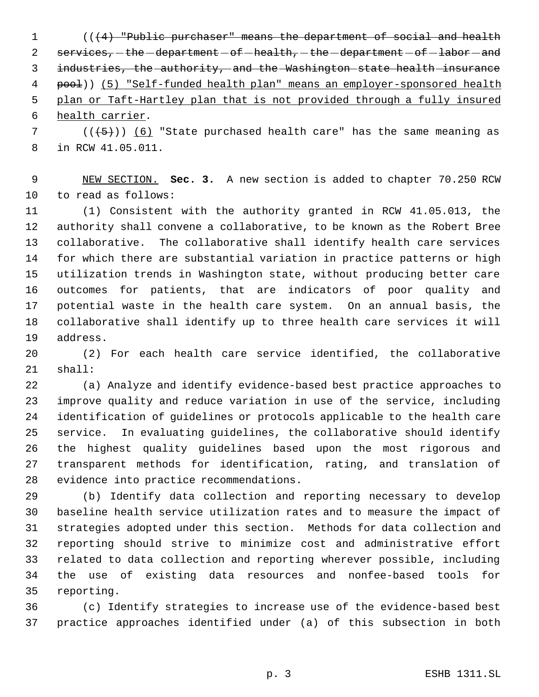1 (( $(4)$  "Public purchaser" means the department of social and health  $s$ ervices, -the -department - of -health, -the -department - of -labor - and industries, the authority, and the Washington state health insurance 4 pool)) (5) "Self-funded health plan" means an employer-sponsored health plan or Taft-Hartley plan that is not provided through a fully insured health carrier.

7 ( $(\overline{5})$ ) (6) "State purchased health care" has the same meaning as in RCW 41.05.011.

 NEW SECTION. **Sec. 3.** A new section is added to chapter 70.250 RCW to read as follows:

 (1) Consistent with the authority granted in RCW 41.05.013, the authority shall convene a collaborative, to be known as the Robert Bree collaborative. The collaborative shall identify health care services for which there are substantial variation in practice patterns or high utilization trends in Washington state, without producing better care outcomes for patients, that are indicators of poor quality and potential waste in the health care system. On an annual basis, the collaborative shall identify up to three health care services it will address.

 (2) For each health care service identified, the collaborative shall:

 (a) Analyze and identify evidence-based best practice approaches to improve quality and reduce variation in use of the service, including identification of guidelines or protocols applicable to the health care service. In evaluating guidelines, the collaborative should identify the highest quality guidelines based upon the most rigorous and transparent methods for identification, rating, and translation of evidence into practice recommendations.

 (b) Identify data collection and reporting necessary to develop baseline health service utilization rates and to measure the impact of strategies adopted under this section. Methods for data collection and reporting should strive to minimize cost and administrative effort related to data collection and reporting wherever possible, including the use of existing data resources and nonfee-based tools for reporting.

 (c) Identify strategies to increase use of the evidence-based best practice approaches identified under (a) of this subsection in both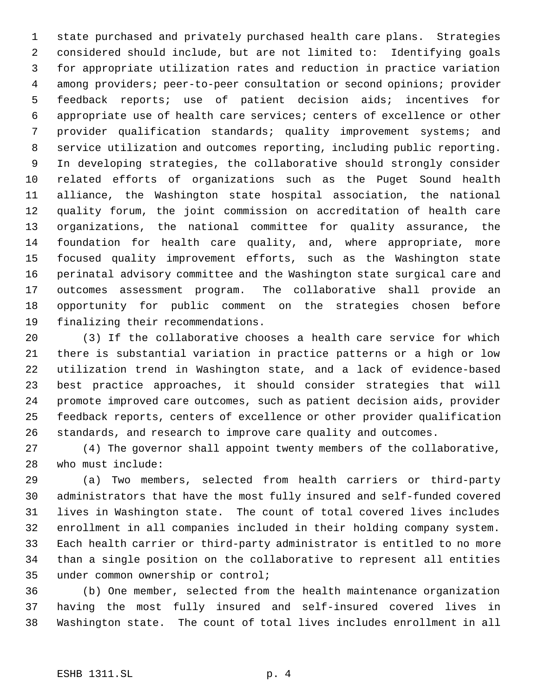state purchased and privately purchased health care plans. Strategies considered should include, but are not limited to: Identifying goals for appropriate utilization rates and reduction in practice variation among providers; peer-to-peer consultation or second opinions; provider feedback reports; use of patient decision aids; incentives for appropriate use of health care services; centers of excellence or other provider qualification standards; quality improvement systems; and service utilization and outcomes reporting, including public reporting. In developing strategies, the collaborative should strongly consider related efforts of organizations such as the Puget Sound health alliance, the Washington state hospital association, the national quality forum, the joint commission on accreditation of health care organizations, the national committee for quality assurance, the foundation for health care quality, and, where appropriate, more focused quality improvement efforts, such as the Washington state perinatal advisory committee and the Washington state surgical care and outcomes assessment program. The collaborative shall provide an opportunity for public comment on the strategies chosen before finalizing their recommendations.

 (3) If the collaborative chooses a health care service for which there is substantial variation in practice patterns or a high or low utilization trend in Washington state, and a lack of evidence-based best practice approaches, it should consider strategies that will promote improved care outcomes, such as patient decision aids, provider feedback reports, centers of excellence or other provider qualification standards, and research to improve care quality and outcomes.

 (4) The governor shall appoint twenty members of the collaborative, who must include:

 (a) Two members, selected from health carriers or third-party administrators that have the most fully insured and self-funded covered lives in Washington state. The count of total covered lives includes enrollment in all companies included in their holding company system. Each health carrier or third-party administrator is entitled to no more than a single position on the collaborative to represent all entities under common ownership or control;

 (b) One member, selected from the health maintenance organization having the most fully insured and self-insured covered lives in Washington state. The count of total lives includes enrollment in all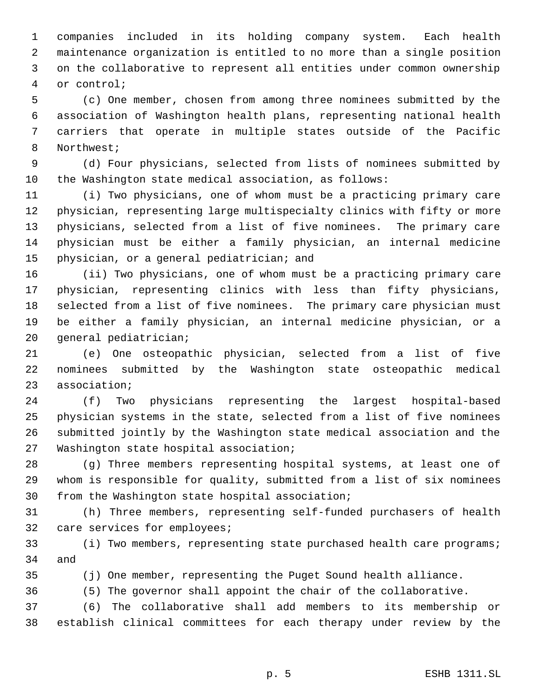companies included in its holding company system. Each health maintenance organization is entitled to no more than a single position on the collaborative to represent all entities under common ownership or control;

 (c) One member, chosen from among three nominees submitted by the association of Washington health plans, representing national health carriers that operate in multiple states outside of the Pacific Northwest;

 (d) Four physicians, selected from lists of nominees submitted by the Washington state medical association, as follows:

 (i) Two physicians, one of whom must be a practicing primary care physician, representing large multispecialty clinics with fifty or more physicians, selected from a list of five nominees. The primary care physician must be either a family physician, an internal medicine physician, or a general pediatrician; and

 (ii) Two physicians, one of whom must be a practicing primary care physician, representing clinics with less than fifty physicians, selected from a list of five nominees. The primary care physician must be either a family physician, an internal medicine physician, or a general pediatrician;

 (e) One osteopathic physician, selected from a list of five nominees submitted by the Washington state osteopathic medical association;

 (f) Two physicians representing the largest hospital-based physician systems in the state, selected from a list of five nominees submitted jointly by the Washington state medical association and the Washington state hospital association;

 (g) Three members representing hospital systems, at least one of whom is responsible for quality, submitted from a list of six nominees from the Washington state hospital association;

 (h) Three members, representing self-funded purchasers of health care services for employees;

 (i) Two members, representing state purchased health care programs; and

(j) One member, representing the Puget Sound health alliance.

(5) The governor shall appoint the chair of the collaborative.

 (6) The collaborative shall add members to its membership or establish clinical committees for each therapy under review by the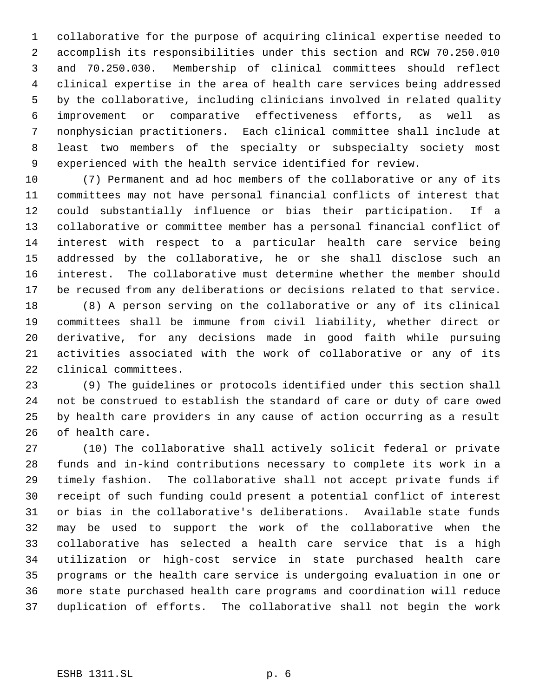collaborative for the purpose of acquiring clinical expertise needed to accomplish its responsibilities under this section and RCW 70.250.010 and 70.250.030. Membership of clinical committees should reflect clinical expertise in the area of health care services being addressed by the collaborative, including clinicians involved in related quality improvement or comparative effectiveness efforts, as well as nonphysician practitioners. Each clinical committee shall include at least two members of the specialty or subspecialty society most experienced with the health service identified for review.

 (7) Permanent and ad hoc members of the collaborative or any of its committees may not have personal financial conflicts of interest that could substantially influence or bias their participation. If a collaborative or committee member has a personal financial conflict of interest with respect to a particular health care service being addressed by the collaborative, he or she shall disclose such an interest. The collaborative must determine whether the member should be recused from any deliberations or decisions related to that service.

 (8) A person serving on the collaborative or any of its clinical committees shall be immune from civil liability, whether direct or derivative, for any decisions made in good faith while pursuing activities associated with the work of collaborative or any of its clinical committees.

 (9) The guidelines or protocols identified under this section shall not be construed to establish the standard of care or duty of care owed by health care providers in any cause of action occurring as a result of health care.

 (10) The collaborative shall actively solicit federal or private funds and in-kind contributions necessary to complete its work in a timely fashion. The collaborative shall not accept private funds if receipt of such funding could present a potential conflict of interest or bias in the collaborative's deliberations. Available state funds may be used to support the work of the collaborative when the collaborative has selected a health care service that is a high utilization or high-cost service in state purchased health care programs or the health care service is undergoing evaluation in one or more state purchased health care programs and coordination will reduce duplication of efforts. The collaborative shall not begin the work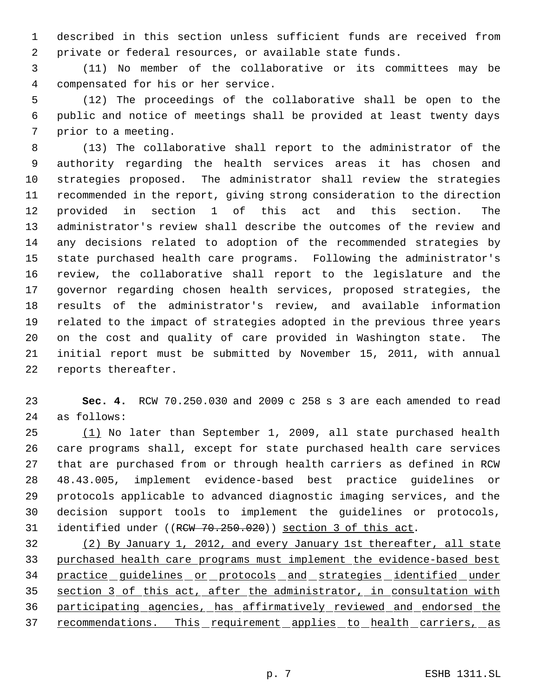described in this section unless sufficient funds are received from private or federal resources, or available state funds.

 (11) No member of the collaborative or its committees may be compensated for his or her service.

 (12) The proceedings of the collaborative shall be open to the public and notice of meetings shall be provided at least twenty days prior to a meeting.

 (13) The collaborative shall report to the administrator of the authority regarding the health services areas it has chosen and strategies proposed. The administrator shall review the strategies recommended in the report, giving strong consideration to the direction provided in section 1 of this act and this section. The administrator's review shall describe the outcomes of the review and any decisions related to adoption of the recommended strategies by state purchased health care programs. Following the administrator's review, the collaborative shall report to the legislature and the governor regarding chosen health services, proposed strategies, the results of the administrator's review, and available information related to the impact of strategies adopted in the previous three years on the cost and quality of care provided in Washington state. The initial report must be submitted by November 15, 2011, with annual reports thereafter.

 **Sec. 4.** RCW 70.250.030 and 2009 c 258 s 3 are each amended to read as follows:

 (1) No later than September 1, 2009, all state purchased health care programs shall, except for state purchased health care services that are purchased from or through health carriers as defined in RCW 48.43.005, implement evidence-based best practice guidelines or protocols applicable to advanced diagnostic imaging services, and the decision support tools to implement the guidelines or protocols, 31 identified under ((RCW 70.250.020)) section 3 of this act.

 (2) By January 1, 2012, and every January 1st thereafter, all state purchased health care programs must implement the evidence-based best 34 practice guidelines or protocols and strategies identified under section 3 of this act, after the administrator, in consultation with participating agencies, has affirmatively reviewed and endorsed the 37 recommendations. This requirement applies to health carriers, as